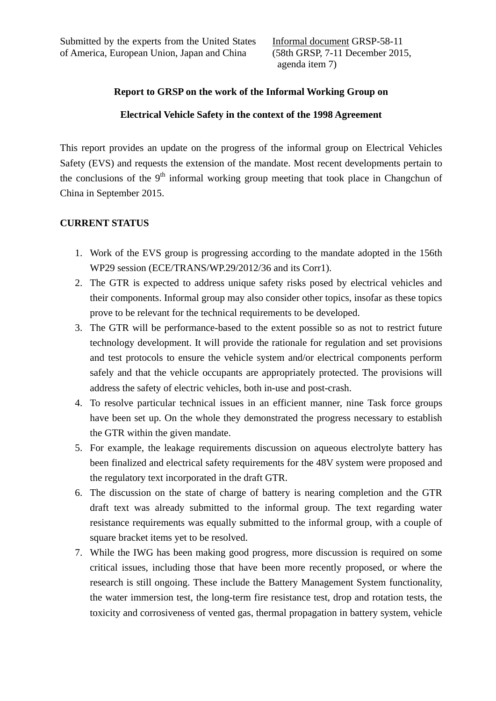Informal document GRSP-58-11 (58th GRSP, 7-11 December 2015, agenda item 7)

## **Report to GRSP on the work of the Informal Working Group on**

## **Electrical Vehicle Safety in the context of the 1998 Agreement**

This report provides an update on the progress of the informal group on Electrical Vehicles Safety (EVS) and requests the extension of the mandate. Most recent developments pertain to the conclusions of the  $9<sup>th</sup>$  informal working group meeting that took place in Changchun of China in September 2015.

## **CURRENT STATUS**

- 1. Work of the EVS group is progressing according to the mandate adopted in the 156th WP29 session (ECE/TRANS/WP.29/2012/36 and its Corr1).
- 2. The GTR is expected to address unique safety risks posed by electrical vehicles and their components. Informal group may also consider other topics, insofar as these topics prove to be relevant for the technical requirements to be developed.
- 3. The GTR will be performance-based to the extent possible so as not to restrict future technology development. It will provide the rationale for regulation and set provisions and test protocols to ensure the vehicle system and/or electrical components perform safely and that the vehicle occupants are appropriately protected. The provisions will address the safety of electric vehicles, both in-use and post-crash.
- 4. To resolve particular technical issues in an efficient manner, nine Task force groups have been set up. On the whole they demonstrated the progress necessary to establish the GTR within the given mandate.
- 5. For example, the leakage requirements discussion on aqueous electrolyte battery has been finalized and electrical safety requirements for the 48V system were proposed and the regulatory text incorporated in the draft GTR.
- 6. The discussion on the state of charge of battery is nearing completion and the GTR draft text was already submitted to the informal group. The text regarding water resistance requirements was equally submitted to the informal group, with a couple of square bracket items yet to be resolved.
- 7. While the IWG has been making good progress, more discussion is required on some critical issues, including those that have been more recently proposed, or where the research is still ongoing. These include the Battery Management System functionality, the water immersion test, the long-term fire resistance test, drop and rotation tests, the toxicity and corrosiveness of vented gas, thermal propagation in battery system, vehicle